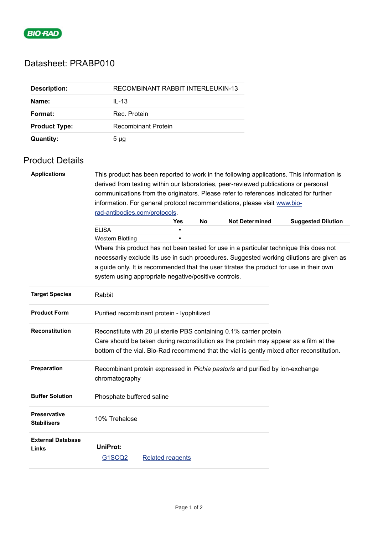

## Datasheet: PRABP010

| <b>Description:</b>  | RECOMBINANT RABBIT INTERLEUKIN-13 |
|----------------------|-----------------------------------|
| Name:                | $IL-13$                           |
| Format:              | Rec. Protein                      |
| <b>Product Type:</b> | Recombinant Protein               |
| <b>Quantity:</b>     | $5 \mu g$                         |

## Product Details

| <b>Applications</b>                       |                                                                                                                                                                                                                                                           | This product has been reported to work in the following applications. This information is |    |                       |                           |  |  |  |
|-------------------------------------------|-----------------------------------------------------------------------------------------------------------------------------------------------------------------------------------------------------------------------------------------------------------|-------------------------------------------------------------------------------------------|----|-----------------------|---------------------------|--|--|--|
|                                           | derived from testing within our laboratories, peer-reviewed publications or personal                                                                                                                                                                      |                                                                                           |    |                       |                           |  |  |  |
|                                           | communications from the originators. Please refer to references indicated for further                                                                                                                                                                     |                                                                                           |    |                       |                           |  |  |  |
|                                           | information. For general protocol recommendations, please visit www.bio-                                                                                                                                                                                  |                                                                                           |    |                       |                           |  |  |  |
|                                           | rad-antibodies.com/protocols.                                                                                                                                                                                                                             |                                                                                           |    |                       |                           |  |  |  |
|                                           |                                                                                                                                                                                                                                                           | <b>Yes</b>                                                                                | No | <b>Not Determined</b> | <b>Suggested Dilution</b> |  |  |  |
|                                           | <b>ELISA</b>                                                                                                                                                                                                                                              |                                                                                           |    |                       |                           |  |  |  |
|                                           | <b>Western Blotting</b>                                                                                                                                                                                                                                   |                                                                                           |    |                       |                           |  |  |  |
|                                           | Where this product has not been tested for use in a particular technique this does not                                                                                                                                                                    |                                                                                           |    |                       |                           |  |  |  |
|                                           | necessarily exclude its use in such procedures. Suggested working dilutions are given as                                                                                                                                                                  |                                                                                           |    |                       |                           |  |  |  |
|                                           | a guide only. It is recommended that the user titrates the product for use in their own                                                                                                                                                                   |                                                                                           |    |                       |                           |  |  |  |
|                                           | system using appropriate negative/positive controls.                                                                                                                                                                                                      |                                                                                           |    |                       |                           |  |  |  |
| <b>Target Species</b>                     | Rabbit                                                                                                                                                                                                                                                    |                                                                                           |    |                       |                           |  |  |  |
| <b>Product Form</b>                       | Purified recombinant protein - lyophilized                                                                                                                                                                                                                |                                                                                           |    |                       |                           |  |  |  |
| <b>Reconstitution</b>                     | Reconstitute with 20 µl sterile PBS containing 0.1% carrier protein<br>Care should be taken during reconstitution as the protein may appear as a film at the<br>bottom of the vial. Bio-Rad recommend that the vial is gently mixed after reconstitution. |                                                                                           |    |                       |                           |  |  |  |
| Preparation                               | Recombinant protein expressed in Pichia pastoris and purified by ion-exchange<br>chromatography                                                                                                                                                           |                                                                                           |    |                       |                           |  |  |  |
| <b>Buffer Solution</b>                    | Phosphate buffered saline                                                                                                                                                                                                                                 |                                                                                           |    |                       |                           |  |  |  |
| <b>Preservative</b><br><b>Stabilisers</b> | 10% Trehalose                                                                                                                                                                                                                                             |                                                                                           |    |                       |                           |  |  |  |
| <b>External Database</b><br>Links         | <b>UniProt:</b><br><b>G1SCQ2</b>                                                                                                                                                                                                                          | <b>Related reagents</b>                                                                   |    |                       |                           |  |  |  |